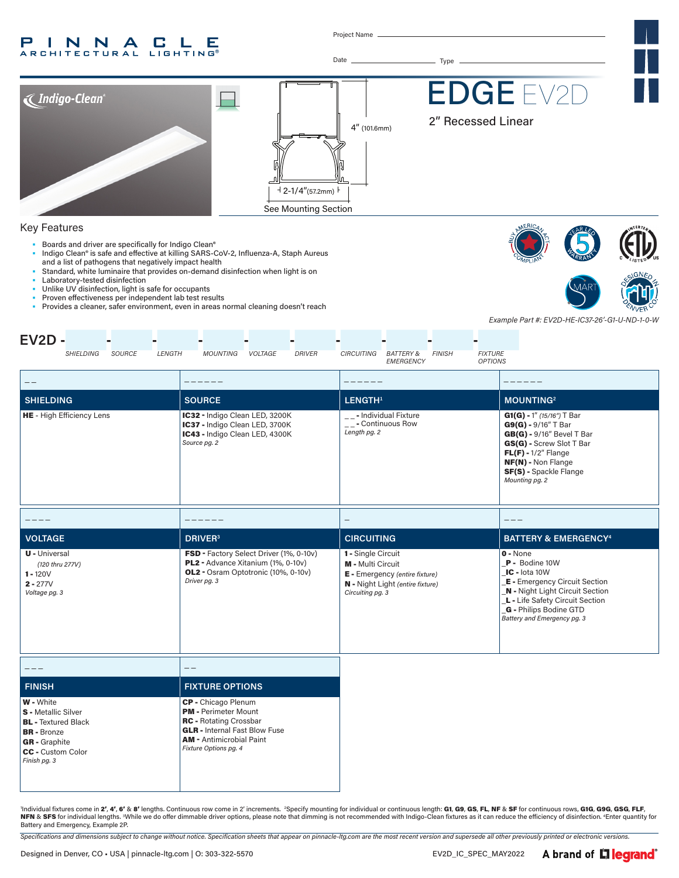#### P INNA **CLE ARCHITECTURAL LIGHTING®**

Project Name

Date Type



## Key Features

- Boards and driver are specifically for Indigo Clean®
- Indigo Clean® is safe and effective at killing SARS-CoV-2, Influenza-A, Staph Aureus and a list of pathogens that negatively impact health
- Standard, white luminaire that provides on-demand disinfection when light is on
- Laboratory-tested disinfection
- Unlike UV disinfection, light is safe for occupants Proven effectiveness per independent lab test results
- Provides a cleaner, safer environment, even in areas normal cleaning doesn't reach





*Example Part #: EV2D-HE-IC37-26'-G1-U-ND-1-0-W*

| $EV2D -$                                                                                                                                                               |                                                                                                                                                                                         |                                                                                                                                   |                                                                                                                                                                                                                             |
|------------------------------------------------------------------------------------------------------------------------------------------------------------------------|-----------------------------------------------------------------------------------------------------------------------------------------------------------------------------------------|-----------------------------------------------------------------------------------------------------------------------------------|-----------------------------------------------------------------------------------------------------------------------------------------------------------------------------------------------------------------------------|
| <b>SHIELDING</b><br>SOURCE<br>LENGTH                                                                                                                                   | <b>MOUNTING</b><br>VOLTAGE<br><b>DRIVER</b>                                                                                                                                             | CIRCUITING<br><b>FINISH</b><br><b>FIXTURE</b><br>BATTERY &<br><b>OPTIONS</b><br>EMERGENCY                                         |                                                                                                                                                                                                                             |
| $\qquad \qquad -$                                                                                                                                                      |                                                                                                                                                                                         |                                                                                                                                   |                                                                                                                                                                                                                             |
| <b>SHIELDING</b>                                                                                                                                                       | <b>SOURCE</b>                                                                                                                                                                           | LENGTH <sup>1</sup>                                                                                                               | <b>MOUNTING<sup>2</sup></b>                                                                                                                                                                                                 |
| HE - High Efficiency Lens                                                                                                                                              | IC32 - Indigo Clean LED, 3200K<br>IC37 - Indigo Clean LED, 3700K<br>IC43 - Indigo Clean LED, 4300K<br>Source pg. 2                                                                      | __- Individual Fixture<br>$\sqrt{2}$ - Continuous Row<br>Length pg. 2                                                             | $G1(G) - 1''$ (15/16") T Bar<br>$G9(G) - 9/16''$ T Bar<br>$GB(G)$ - 9/16" Bevel T Bar<br>GS(G) - Screw Slot T Bar<br>$FL(F) - 1/2''$ Flange<br>NF(N) - Non Flange<br>SF(S) - Spackle Flange<br>Mounting pg. 2               |
|                                                                                                                                                                        |                                                                                                                                                                                         |                                                                                                                                   |                                                                                                                                                                                                                             |
| <b>VOLTAGE</b>                                                                                                                                                         | <b>DRIVER</b> <sup>3</sup>                                                                                                                                                              | <b>CIRCUITING</b>                                                                                                                 | <b>BATTERY &amp; EMERGENCY<sup>4</sup></b>                                                                                                                                                                                  |
| <b>U</b> - Universal<br>(120 thru 277V)<br>$1 - 120V$<br>$2 - 277V$<br>Voltage pg. 3                                                                                   | FSD - Factory Select Driver (1%, 0-10v)<br>PL2 - Advance Xitanium (1%, 0-10v)<br>OL2 - Osram Optotronic (10%, 0-10v)<br>Driver pg. 3                                                    | 1 - Single Circuit<br>M - Multi Circuit<br>E - Emergency (entire fixture)<br>N - Night Light (entire fixture)<br>Circuiting pg. 3 | $0 - None$<br>P - Bodine 10W<br>IC - lota 10W<br><b>E</b> - Emergency Circuit Section<br><b>N</b> - Night Light Circuit Section<br>L - Life Safety Circuit Section<br>G - Philips Bodine GTD<br>Battery and Emergency pg. 3 |
| $- - -$                                                                                                                                                                | $- -$                                                                                                                                                                                   |                                                                                                                                   |                                                                                                                                                                                                                             |
| <b>FINISH</b>                                                                                                                                                          | <b>FIXTURE OPTIONS</b>                                                                                                                                                                  |                                                                                                                                   |                                                                                                                                                                                                                             |
| <b>W</b> - White<br><b>S</b> - Metallic Silver<br><b>BL</b> - Textured Black<br><b>BR</b> - Bronze<br><b>GR</b> - Graphite<br><b>CC</b> - Custom Color<br>Finish pg. 3 | CP - Chicago Plenum<br><b>PM</b> - Perimeter Mount<br><b>RC</b> - Rotating Crossbar<br><b>GLR</b> - Internal Fast Blow Fuse<br><b>AM - Antimicrobial Paint</b><br>Fixture Options pg. 4 |                                                                                                                                   |                                                                                                                                                                                                                             |

'Individual fixtures come in 2', 4', 6' & 8' lengths. Continuous row come in 2' increments. <sup>2</sup>Specify mounting for individual or continuous length: G1, G9, GS, FL, NF & SF for continuous rows, G1G, G9G, GSG, FLF, NFN & SFS for individual lengths. While we do offer dimmable driver options, please note that dimming is not recommended with Indigo-Clean fixtures as it can reduce the efficiency of disinfection. <sup>4</sup>Enter quantity for Battery and Emergency, Example 2P.

*Specifications and dimensions subject to change without notice. Specification sheets that appear on pinnacle-ltg.com are the most recent version and supersede all other previously printed or electronic versions.*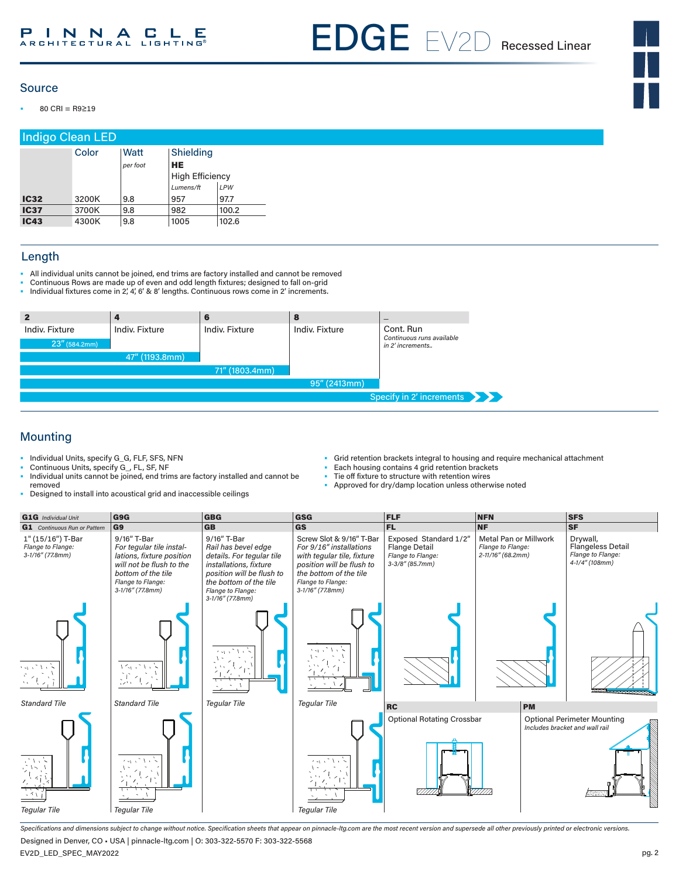EDGE EV2D Recessed Linear

## Source

• 80 CRI = R9≥19

| <b>Indigo Clean LED</b> |       |                  |                                                                      |       |  |
|-------------------------|-------|------------------|----------------------------------------------------------------------|-------|--|
|                         | Color | Watt<br>per foot | Shielding<br><b>HE</b><br><b>High Efficiency</b><br>Lumens/ft<br>LPW |       |  |
| <b>IC32</b>             | 3200K | 9.8              | 957                                                                  | 97.7  |  |
| <b>IC37</b>             | 3700K | 9.8              | 982                                                                  | 100.2 |  |
| <b>IC43</b>             | 4300K | 9.8              | 1005                                                                 | 102.6 |  |

## Length

- All individual units cannot be joined, end trims are factory installed and cannot be removed
- Continuous Rows are made up of even and odd length fixtures; designed to fall on-grid
- Individual fixtures come in 2', 4', 6' & 8' lengths. Continuous rows come in 2' increments.

| $\mathbf{2}$                    |                | 6              |                | $\qquad \qquad \blacksquare$                               |
|---------------------------------|----------------|----------------|----------------|------------------------------------------------------------|
| Indiv. Fixture<br>23''(584.2mm) | Indiv. Fixture | Indiv. Fixture | Indiv. Fixture | Cont. Run<br>Continuous runs available<br>in 2' increments |
|                                 | 47" (1193.8mm) |                |                |                                                            |
|                                 |                | 71" (1803.4mm) |                |                                                            |
|                                 |                |                | 95" (2413mm)   |                                                            |
|                                 |                |                |                | Specify in 2' increments                                   |

## Mounting

- Individual Units, specify G\_G, FLF, SFS, NFN
- Continuous Units, specify G\_, FL, SF, NF
- Grid retention brackets integral to housing and require mechanical attachment
- Each housing contains 4 grid retention brackets
- Tie off fixture to structure with retention wires<br>• Approved for dry/damp location unless othery
- Individual units cannot be joined, end trims are factory installed and cannot be removed • Designed to install into acoustical grid and inaccessible ceilings
- Approved for dry/damp location unless otherwise noted

| <b>G1G</b> Individual Unit                                 | G9G                                                                                                                                                                | <b>GBG</b>                                                                                                                                                                                | GSG                                                                                                                                                                                  | <b>FLF</b>                                                                               | <b>NFN</b>                                                             | <b>SFS</b>                                                                  |
|------------------------------------------------------------|--------------------------------------------------------------------------------------------------------------------------------------------------------------------|-------------------------------------------------------------------------------------------------------------------------------------------------------------------------------------------|--------------------------------------------------------------------------------------------------------------------------------------------------------------------------------------|------------------------------------------------------------------------------------------|------------------------------------------------------------------------|-----------------------------------------------------------------------------|
| <b>G1</b> Continuous Run or Pattern                        | G <sub>9</sub>                                                                                                                                                     | <b>GB</b>                                                                                                                                                                                 | <b>GS</b>                                                                                                                                                                            | FL.                                                                                      | <b>NF</b>                                                              | <b>SF</b>                                                                   |
| 1" (15/16") T-Bar<br>Flange to Flange:<br>3-1/16" (77.8mm) | 9/16" T-Bar<br>For tegular tile instal-<br>lations, fixture position<br>will not be flush to the<br>bottom of the tile<br>Flange to Flange:<br>$3-1/16''$ (77.8mm) | 9/16" T-Bar<br>Rail has bevel edge<br>details. For tegular tile<br>installations, fixture<br>position will be flush to<br>the bottom of the tile<br>Flange to Flange:<br>3-1/16" (77.8mm) | Screw Slot & 9/16" T-Bar<br>For 9/16" installations<br>with tegular tile, fixture<br>position will be flush to<br>the bottom of the tile<br>Flange to Flange:<br>$3-1/16''$ (77.8mm) | Exposed Standard 1/2"<br><b>Flange Detail</b><br>Flange to Flange:<br>$3-3/8''$ (85.7mm) | <b>Metal Pan or Millwork</b><br>Flange to Flange:<br>2-11/16" (68.2mm) | Drywall,<br><b>Flangeless Detail</b><br>Flange to Flange:<br>4-1/4" (108mm) |
| یک و لات وی و                                              | バイディック                                                                                                                                                             | スポンパ                                                                                                                                                                                      | $1 - 1 - 1$                                                                                                                                                                          |                                                                                          |                                                                        |                                                                             |
| <b>Standard Tile</b>                                       | <b>Standard Tile</b>                                                                                                                                               | <b>Tegular Tile</b>                                                                                                                                                                       | <b>Tegular Tile</b>                                                                                                                                                                  | <b>RC</b>                                                                                | <b>PM</b>                                                              |                                                                             |
| アルト<br><b>Tegular Tile</b>                                 | いいく<br>$\sim$<br><b>Tegular Tile</b>                                                                                                                               |                                                                                                                                                                                           | $\sim$<br><b>Tegular Tile</b>                                                                                                                                                        | <b>Optional Rotating Crossbar</b>                                                        |                                                                        | <b>Optional Perimeter Mounting</b><br>Includes bracket and wall rail        |

*Specifications and dimensions subject to change without notice. Specification sheets that appear on pinnacle-ltg.com are the most recent version and supersede all other previously printed or electronic versions.* Designed in Denver, CO • USA | pinnacle-ltg.com | O: 303-322-5570 F: 303-322-5568

EV2D\_LED\_SPEC\_MAY2022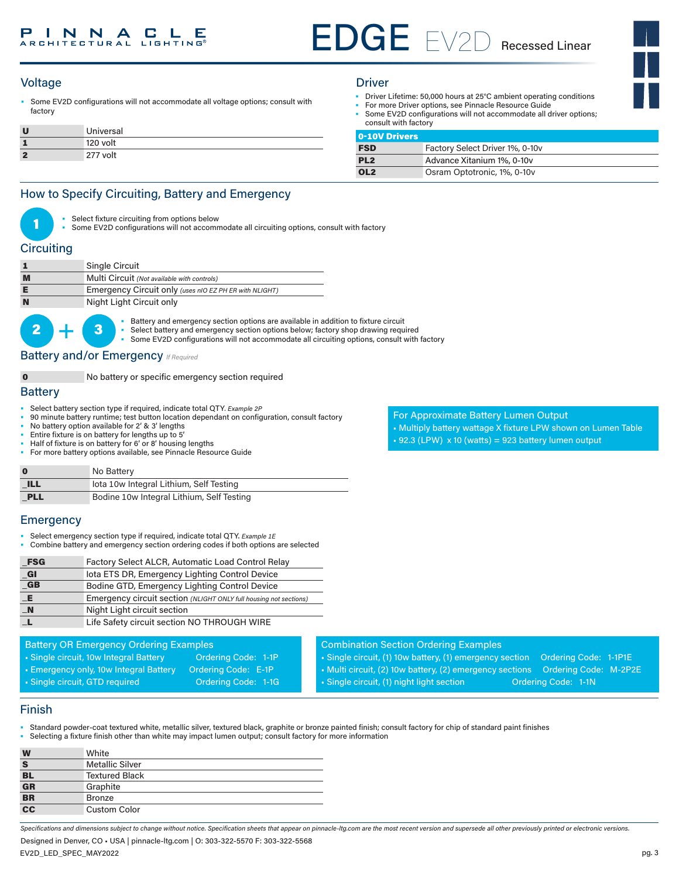

• Some EV2D configurations will not accommodate all voltage options; consult with factory

|   | Universal |
|---|-----------|
|   | 120 volt  |
| ÷ | 277 volt  |

- Driver Lifetime: 50,000 hours at 25°C ambient operating conditions
- For more Driver options, see Pinnacle Resource Guide
- Some EV2D configurations will not accommodate all driver options; consult with factory

| 0-10V Drivers   |                                 |
|-----------------|---------------------------------|
| <b>FSD</b>      | Factory Select Driver 1%, 0-10v |
| PL <sub>2</sub> | Advance Xitanium 1%, 0-10v      |
| OL <sub>2</sub> | Osram Optotronic, 1%, 0-10v     |

## How to Specify Circuiting, Battery and Emergency

- Select fixture circuiting from options below
- Some EV2D configurations will not accommodate all circuiting options, consult with factory

## **Circuiting**

|          | Single Circuit                                                                                                                                                                                           |  |
|----------|----------------------------------------------------------------------------------------------------------------------------------------------------------------------------------------------------------|--|
|          | Multi Circuit (Not available with controls)                                                                                                                                                              |  |
|          | Emergency Circuit only (uses nIO EZ PH ER with NLIGHT)                                                                                                                                                   |  |
|          | Night Light Circuit only                                                                                                                                                                                 |  |
| $2$ $ 3$ | • Battery and emergency section options are available in additional<br>• Select battery and emergency section options below; factory s<br>• Some EV2D configurations will not accommodate all circuiting |  |

**3** • Battery and emergency section options are available in addition to fixture circuit<br> **3** • Select battery and emergency section options below; factory shop drawing requ

Select battery and emergency section options below; factory shop drawing required Some EV2D configurations will not accommodate all circuiting options, consult with factory

## **Battery and/or Emergency** *If Required*

0 No battery or specific emergency section required

## **Battery**

- Select battery section type if required, indicate total QTY*. Example 2P*
- 90 minute battery runtime; test button location dependant on configuration, consult factory
- No battery option available for 2' & 3' lengths
- Entire fixture is on battery for lengths up to 5'
- Half of fixture is on battery for 6' or 8' housing lengths
- For more battery options available, see Pinnacle Resource Guide

| $\mathbf 0$ | No Battery                                |
|-------------|-------------------------------------------|
| <b>ILL</b>  | lota 10w Integral Lithium, Self Testing   |
| PLL         | Bodine 10w Integral Lithium, Self Testing |

## **Emergency**

- Select emergency section type if required, indicate total QTY. *Example 1E*
- Combine battery and emergency section ordering codes if both options are selected

| <b>FSG</b>   | Factory Select ALCR, Automatic Load Control Relay                 |
|--------------|-------------------------------------------------------------------|
| GI           | lota ETS DR, Emergency Lighting Control Device                    |
| $G$ B        | Bodine GTD, Emergency Lighting Control Device                     |
| LE.          | Emergency circuit section (NLIGHT ONLY full housing not sections) |
| $\mathbf{N}$ | Night Light circuit section                                       |
|              | Life Safety circuit section NO THROUGH WIRE                       |

### Battery OR Emergency Ordering Examples

- Single circuit, 10w Integral Battery **Ordering Code: 1-1P** • Emergency only, 10w Integral Battery Ordering Code: E-1P
- Single circuit, GTD required Condering Code: 1-1G
	-

For Approximate Battery Lumen Output • Multiply battery wattage X fixture LPW shown on Lumen Table  $\text{-}$  92.3 (LPW) x 10 (watts) = 923 battery lumen output

Combination Section Ordering Examples • Single circuit, (1) 10w battery, (1) emergency section Ordering Code: 1-1P1E • Multi circuit, (2) 10w battery, (2) emergency sections Ordering Code: M-2P2E • Single circuit, (1) night light section **Ordering Code: 1-1N** 

## Finish

- Standard powder-coat textured white, metallic silver, textured black, graphite or bronze painted finish; consult factory for chip of standard paint finishes
- Selecting a fixture finish other than white may impact lumen output; consult factory for more information

| W                        | White                  |
|--------------------------|------------------------|
| S                        | <b>Metallic Silver</b> |
| $rac{BL}{GR}$            | <b>Textured Black</b>  |
|                          | Graphite               |
| $\overline{\mathbf{BR}}$ | <b>Bronze</b>          |
| $\frac{1}{1}$            | <b>Custom Color</b>    |

*Specifications and dimensions subject to change without notice. Specification sheets that appear on pinnacle-ltg.com are the most recent version and supersede all other previously printed or electronic versions.*

Designed in Denver, CO • USA | pinnacle-ltg.com | O: 303-322-5570 F: 303-322-5568